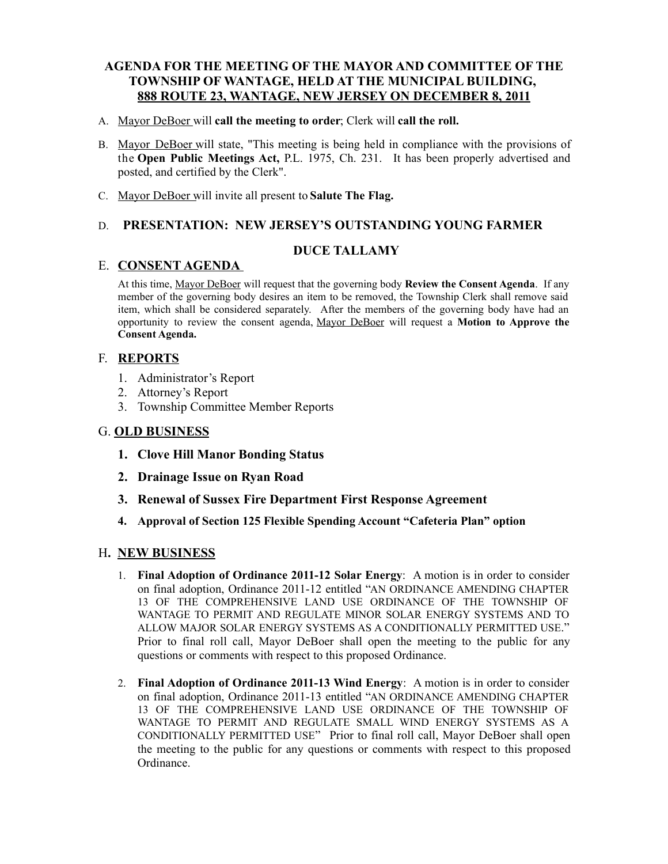## **AGENDA FOR THE MEETING OF THE MAYOR AND COMMITTEE OF THE TOWNSHIP OF WANTAGE, HELD AT THE MUNICIPAL BUILDING, 888 ROUTE 23, WANTAGE, NEW JERSEY ON DECEMBER 8, 2011**

- A. Mayor DeBoer will **call the meeting to order**; Clerk will **call the roll.**
- B. Mayor DeBoer will state, "This meeting is being held in compliance with the provisions of the **Open Public Meetings Act,** P.L. 1975, Ch. 231. It has been properly advertised and posted, and certified by the Clerk".
- C. Mayor DeBoer will invite all present to **Salute The Flag.**

## D. **PRESENTATION: NEW JERSEY'S OUTSTANDING YOUNG FARMER**

### **DUCE TALLAMY**

#### E. **CONSENT AGENDA**

At this time, Mayor DeBoer will request that the governing body **Review the Consent Agenda**. If any member of the governing body desires an item to be removed, the Township Clerk shall remove said item, which shall be considered separately. After the members of the governing body have had an opportunity to review the consent agenda, Mayor DeBoer will request a **Motion to Approve the Consent Agenda.**

### F. **REPORTS**

- 1. Administrator's Report
- 2. Attorney's Report
- 3. Township Committee Member Reports

### G. **OLD BUSINESS**

- **1. Clove Hill Manor Bonding Status**
- **2. Drainage Issue on Ryan Road**
- **3. Renewal of Sussex Fire Department First Response Agreement**
- **4. Approval of Section 125 Flexible Spending Account "Cafeteria Plan" option**

### H**. NEW BUSINESS**

- 1. **Final Adoption of Ordinance 2011-12 Solar Energy**: A motion is in order to consider on final adoption, Ordinance 2011-12 entitled "AN ORDINANCE AMENDING CHAPTER 13 OF THE COMPREHENSIVE LAND USE ORDINANCE OF THE TOWNSHIP OF WANTAGE TO PERMIT AND REGULATE MINOR SOLAR ENERGY SYSTEMS AND TO ALLOW MAJOR SOLAR ENERGY SYSTEMS AS A CONDITIONALLY PERMITTED USE." Prior to final roll call, Mayor DeBoer shall open the meeting to the public for any questions or comments with respect to this proposed Ordinance.
- 2. **Final Adoption of Ordinance 2011-13 Wind Energy**: A motion is in order to consider on final adoption, Ordinance 2011-13 entitled "AN ORDINANCE AMENDING CHAPTER 13 OF THE COMPREHENSIVE LAND USE ORDINANCE OF THE TOWNSHIP OF WANTAGE TO PERMIT AND REGULATE SMALL WIND ENERGY SYSTEMS AS A CONDITIONALLY PERMITTED USE" Prior to final roll call, Mayor DeBoer shall open the meeting to the public for any questions or comments with respect to this proposed Ordinance.